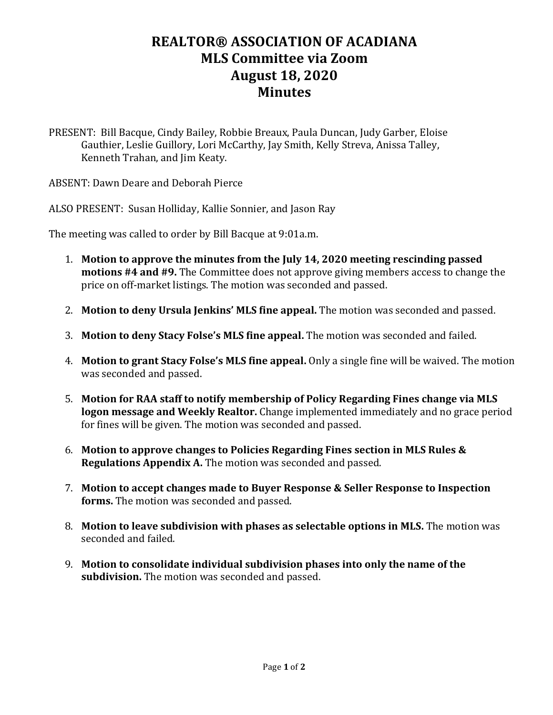## **REALTOR® ASSOCIATION OF ACADIANA MLS Committee via Zoom August 18, 2020 Minutes**

PRESENT: Bill Bacque, Cindy Bailey, Robbie Breaux, Paula Duncan, Judy Garber, Eloise Gauthier, Leslie Guillory, Lori McCarthy, Jay Smith, Kelly Streva, Anissa Talley, Kenneth Trahan, and Jim Keaty.

ABSENT: Dawn Deare and Deborah Pierce

ALSO PRESENT: Susan Holliday, Kallie Sonnier, and Jason Ray

The meeting was called to order by Bill Bacque at 9:01a.m.

- 1. **Motion to approve the minutes from the July 14, 2020 meeting rescinding passed motions #4 and #9.** The Committee does not approve giving members access to change the price on off-market listings. The motion was seconded and passed.
- 2. **Motion to deny Ursula Jenkins' MLS fine appeal.** The motion was seconded and passed.
- 3. **Motion to deny Stacy Folse's MLS fine appeal.** The motion was seconded and failed.
- 4. **Motion to grant Stacy Folse's MLS fine appeal.** Only a single fine will be waived. The motion was seconded and passed.
- 5. **Motion for RAA staff to notify membership of Policy Regarding Fines change via MLS logon message and Weekly Realtor.** Change implemented immediately and no grace period for fines will be given. The motion was seconded and passed.
- 6. **Motion to approve changes to Policies Regarding Fines section in MLS Rules & Regulations Appendix A.** The motion was seconded and passed.
- 7. **Motion to accept changes made to Buyer Response & Seller Response to Inspection forms.** The motion was seconded and passed.
- 8. **Motion to leave subdivision with phases as selectable options in MLS.** The motion was seconded and failed.
- 9. **Motion to consolidate individual subdivision phases into only the name of the subdivision.** The motion was seconded and passed.